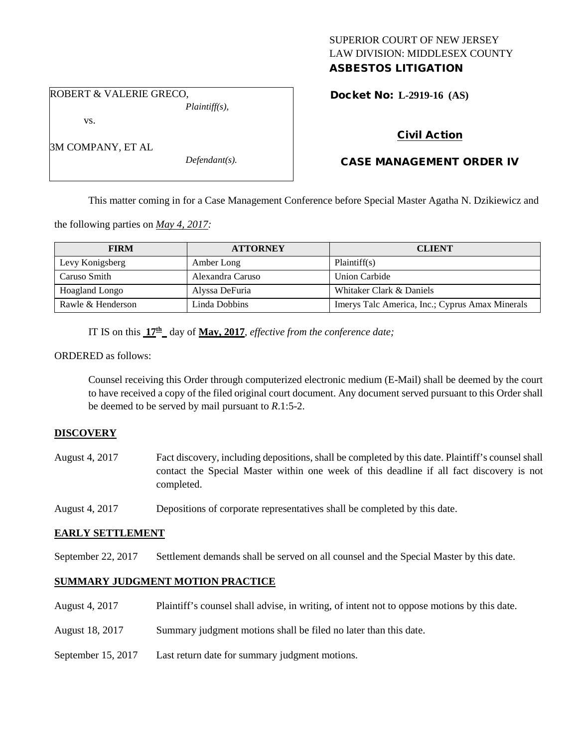## SUPERIOR COURT OF NEW JERSEY LAW DIVISION: MIDDLESEX COUNTY ASBESTOS LITIGATION

ROBERT & VALERIE GRECO, *Plaintiff(s),*

vs.

3M COMPANY, ET AL

*Defendant(s).*

Docket No: **L-2919-16 (AS)** 

# Civil Action

# CASE MANAGEMENT ORDER IV

This matter coming in for a Case Management Conference before Special Master Agatha N. Dzikiewicz and

the following parties on *May 4, 2017:*

| <b>FIRM</b>       | <b>ATTORNEY</b>  | <b>CLIENT</b>                                   |
|-------------------|------------------|-------------------------------------------------|
| Levy Konigsberg   | Amber Long       | Plaintiff(s)                                    |
| Caruso Smith      | Alexandra Caruso | Union Carbide                                   |
| Hoagland Longo    | Alyssa DeFuria   | Whitaker Clark & Daniels                        |
| Rawle & Henderson | Linda Dobbins    | Imerys Talc America, Inc.; Cyprus Amax Minerals |

IT IS on this  $17<sup>th</sup>$  day of **May, 2017**, *effective from the conference date*;

ORDERED as follows:

Counsel receiving this Order through computerized electronic medium (E-Mail) shall be deemed by the court to have received a copy of the filed original court document. Any document served pursuant to this Order shall be deemed to be served by mail pursuant to *R*.1:5-2.

## **DISCOVERY**

- August 4, 2017 Fact discovery, including depositions, shall be completed by this date. Plaintiff's counsel shall contact the Special Master within one week of this deadline if all fact discovery is not completed.
- August 4, 2017 Depositions of corporate representatives shall be completed by this date.

## **EARLY SETTLEMENT**

September 22, 2017 Settlement demands shall be served on all counsel and the Special Master by this date.

## **SUMMARY JUDGMENT MOTION PRACTICE**

- August 4, 2017 Plaintiff's counsel shall advise, in writing, of intent not to oppose motions by this date.
- August 18, 2017 Summary judgment motions shall be filed no later than this date.
- September 15, 2017 Last return date for summary judgment motions.